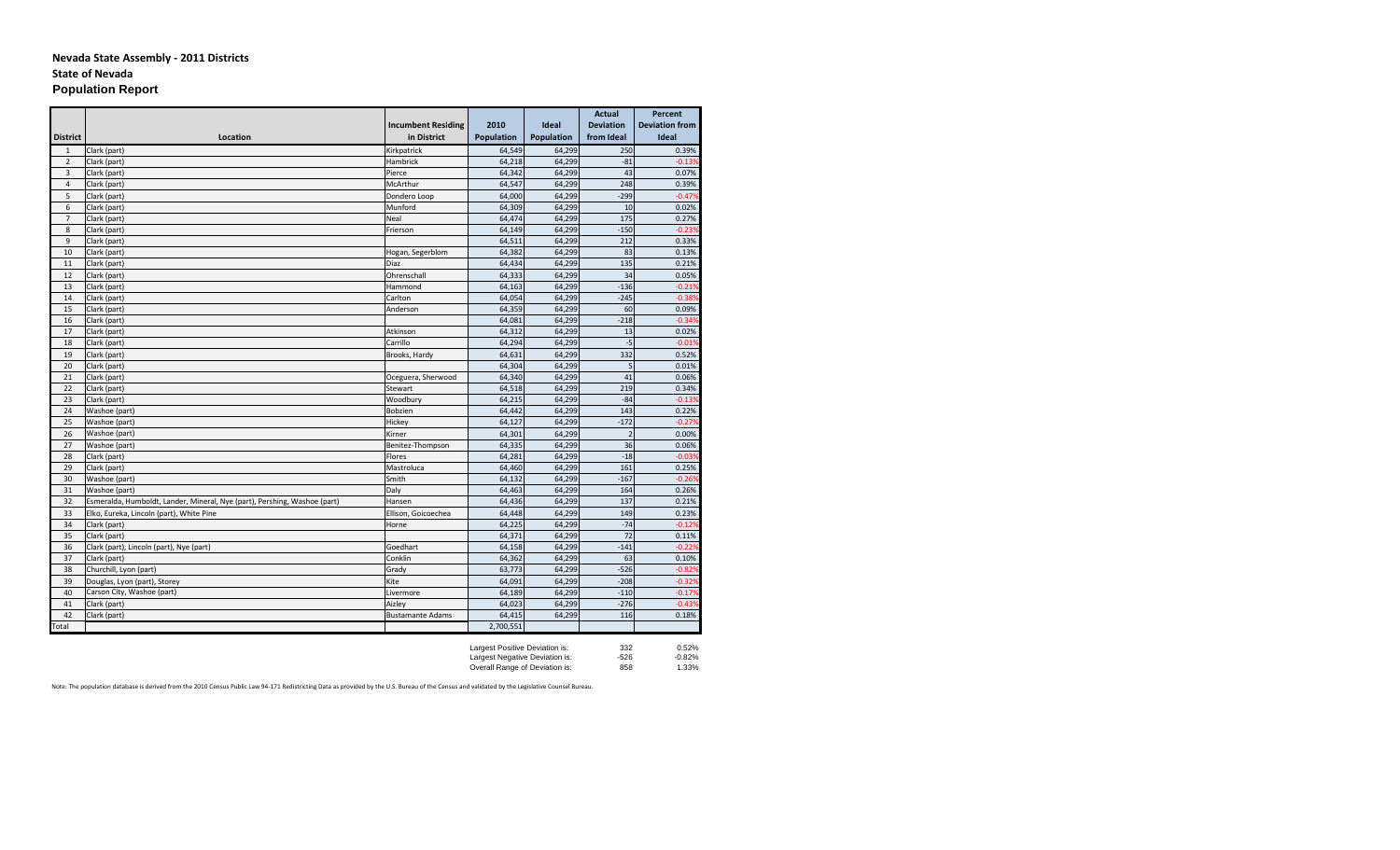## **Nevada State Assembly - 2011 Districts State of Nevada Population Report**

|                 |                                                                           |                           |                   |                   | <b>Actual</b>    | <b>Percent</b>        |
|-----------------|---------------------------------------------------------------------------|---------------------------|-------------------|-------------------|------------------|-----------------------|
|                 |                                                                           | <b>Incumbent Residing</b> | 2010              | <b>Ideal</b>      | <b>Deviation</b> | <b>Deviation from</b> |
| <b>District</b> | Location                                                                  | in District               | <b>Population</b> | <b>Population</b> | from Ideal       | <b>Ideal</b>          |
| $\mathbf{1}$    | Clark (part)                                                              | Kirkpatrick               | 64,549            | 64,299            | 250              | 0.39%                 |
| $\overline{2}$  | Clark (part)                                                              | Hambrick                  | 64,218            | 64,299            | $-81$            | $-0.13%$              |
| 3               | Clark (part)                                                              | Pierce                    | 64,342            | 64,299            | 43               | 0.07%                 |
| 4               | Clark (part)                                                              | McArthur                  | 64,547            | 64,299            | 248              | 0.39%                 |
| 5               | Clark (part)                                                              | Dondero Loop              | 64,000            | 64,299            | $-299$           | $-0.47%$              |
| 6               | Clark (part)                                                              | Munford                   | 64,309            | 64,299            | 10               | 0.02%                 |
| $\overline{7}$  | Clark (part)                                                              | Neal                      | 64,474            | 64,299            | 175              | 0.27%                 |
| 8               | Clark (part)                                                              | Frierson                  | 64,149            | 64,299            | $-150$           | $-0.23%$              |
| 9               | Clark (part)                                                              |                           | 64,511            | 64,299            | 212              | 0.33%                 |
| 10              | Clark (part)                                                              | Hogan, Segerblom          | 64,382            | 64,299            | 83               | 0.13%                 |
| 11              | Clark (part)                                                              | <b>Diaz</b>               | 64,434            | 64,299            | 135              | 0.21%                 |
| 12              | Clark (part)                                                              | Ohrenschall               | 64,333            | 64,299            | 34               | 0.05%                 |
| 13              | Clark (part)                                                              | Hammond                   | 64,163            | 64,299            | $-136$           | $-0.21%$              |
| 14              | Clark (part)                                                              | Carlton                   | 64,054            | 64,299            | $-245$           | $-0.38%$              |
| 15              | Clark (part)                                                              | Anderson                  | 64,359            | 64,299            | 60               | 0.09%                 |
| 16              | Clark (part)                                                              |                           | 64,081            | 64,299            | $-218$           | $-0.34%$              |
| 17              | Clark (part)                                                              | Atkinson                  | 64,312            | 64,299            | 13               | 0.02%                 |
| 18              | Clark (part)                                                              | Carrillo                  | 64,294            | 64,299            | $-5$             | $-0.01%$              |
| 19              | Clark (part)                                                              | Brooks, Hardy             | 64,631            | 64,299            | 332              | 0.52%                 |
| 20              | Clark (part)                                                              |                           | 64,304            | 64,299            | 5                | 0.01%                 |
| 21              | Clark (part)                                                              | Oceguera, Sherwood        | 64,340            | 64,299            | 41               | 0.06%                 |
| 22              | Clark (part)                                                              | <b>Stewart</b>            | 64,518            | 64,299            | 219              | 0.34%                 |
| 23              | Clark (part)                                                              | Woodbury                  | 64,215            | 64,299            | $-84$            | $-0.13%$              |
| 24              | Washoe (part)                                                             | <b>Bobzien</b>            | 64,442            | 64,299            | 143              | 0.22%                 |
| 25              | Washoe (part)                                                             | Hickey                    | 64,127            | 64,299            | $-172$           | $-0.27%$              |
| 26              | Washoe (part)                                                             | Kirner                    | 64,301            | 64,299            |                  | 0.00%                 |
| 27              | Washoe (part)                                                             | Benitez-Thompson          | 64,335            | 64,299            | 36               | 0.06%                 |
| 28              | Clark (part)                                                              | Flores                    | 64,281            | 64,299            | $-18$            | $-0.03%$              |
| 29              | Clark (part)                                                              | Mastroluca                | 64,460            | 64,299            | 161              | 0.25%                 |
| 30              | Washoe (part)                                                             | Smith                     | 64,132            | 64,299            | $-167$           | $-0.26%$              |
| 31              | Washoe (part)                                                             | Daly                      | 64,463            | 64,299            | 164              | 0.26%                 |
| 32              | Esmeralda, Humboldt, Lander, Mineral, Nye (part), Pershing, Washoe (part) | Hansen                    | 64,436            | 64,299            | 137              | 0.21%                 |
| 33              | Elko, Eureka, Lincoln (part), White Pine                                  | Ellison, Goicoechea       | 64,448            | 64,299            | 149              | 0.23%                 |
| 34              | Clark (part)                                                              | Horne                     | 64,225            | 64,299            | $-74$            | $-0.12%$              |
| 35              | Clark (part)                                                              |                           | 64,371            | 64,299            | 72               | 0.11%                 |
| 36              | Clark (part), Lincoln (part), Nye (part)                                  | Goedhart                  | 64,158            | 64,299            | $-141$           | $-0.22%$              |
| 37              | Clark (part)                                                              | Conklin                   | 64,362            | 64,299            | 63               | 0.10%                 |
| 38              | Churchill, Lyon (part)                                                    | Grady                     | 63,773            | 64,299            | $-526$           | $-0.82%$              |
| 39              | Douglas, Lyon (part), Storey                                              | Kite                      | 64,091            | 64,299            | $-208$           | $-0.32%$              |
| 40              | Carson City, Washoe (part)                                                | Livermore                 | 64,189            | 64,299            | $-110$           | $-0.17%$              |
| 41              | Clark (part)                                                              | Aizley                    | 64,023            | 64,299            | $-276$           | $-0.43%$              |
| 42              | Clark (part)                                                              | <b>Bustamante Adams</b>   | 64,415            | 64,299            | 116              | 0.18%                 |
| Total           |                                                                           |                           | 2,700,551         |                   |                  |                       |
|                 |                                                                           |                           |                   |                   |                  |                       |

Largest Positive Deviation is: 0.52% Largest Negative Deviation is:  $-526$  -0.82%

Overall Range of Deviation is: 858 1.33%

Note: The population database is derived from the 2010 Census Public Law 94-171 Redistricting Data as provided by the U.S. Bureau of the Census and validated by the Legislative Counsel Bureau.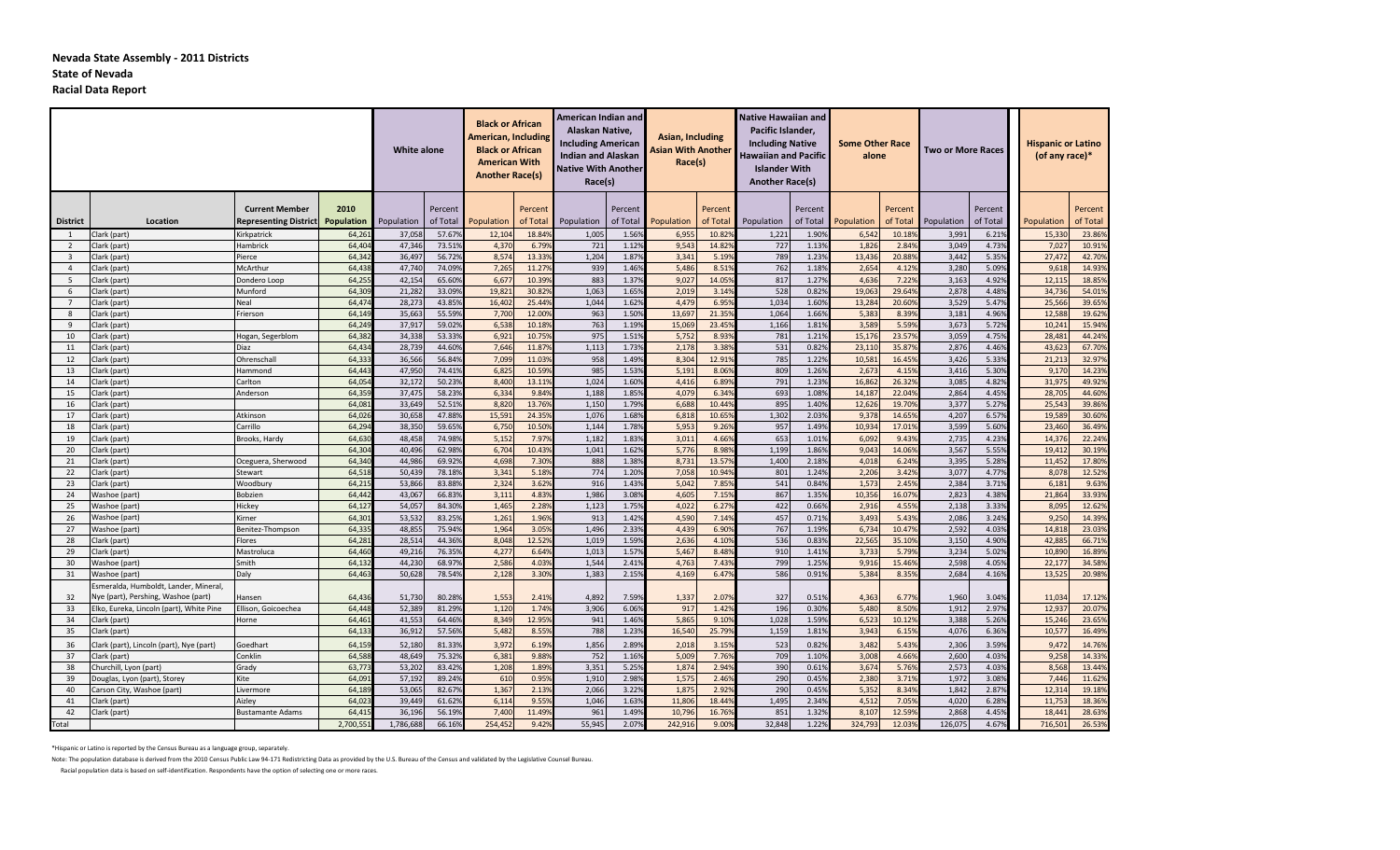## **Nevada State Assembly - 2011 Districts State of Nevada Racial Data Report**

|                 |                                          |                                 |                  |                  | White alone      |                | <b>Black or African</b><br><b>American, Including</b><br><b>Black or African</b><br><b>American With</b><br><b>Another Race(s)</b> |              | American Indian and<br>Alaskan Native,<br><b>Including American</b><br><b>Indian and Alaskan</b><br><b>Native With Another</b><br>Race(s) |                | <b>Asian, Including</b><br><b>Asian With Another</b><br>Race(s) |            | <b>Native Hawaiian and</b><br>Pacific Islander,<br><b>Including Native</b><br><b>Hawaiian and Pacific</b><br><b>Islander With</b><br><b>Another Race(s)</b> |                  | <b>Some Other Race</b><br>alone |                | <b>Two or More Races</b> |                  | <b>Hispanic or Latino</b><br>(of any race) $*$ |
|-----------------|------------------------------------------|---------------------------------|------------------|------------------|------------------|----------------|------------------------------------------------------------------------------------------------------------------------------------|--------------|-------------------------------------------------------------------------------------------------------------------------------------------|----------------|-----------------------------------------------------------------|------------|-------------------------------------------------------------------------------------------------------------------------------------------------------------|------------------|---------------------------------|----------------|--------------------------|------------------|------------------------------------------------|
|                 |                                          |                                 |                  |                  |                  |                |                                                                                                                                    |              |                                                                                                                                           |                |                                                                 |            |                                                                                                                                                             |                  |                                 |                |                          |                  |                                                |
|                 |                                          | <b>Current Member</b>           | 2010             |                  | Percent          |                | Percent                                                                                                                            |              | Percent                                                                                                                                   |                | Percent                                                         |            | Percent                                                                                                                                                     |                  | Percent                         |                | Percent                  |                  | Percent                                        |
| <b>District</b> | Location                                 | <b>Representing District</b>    | Population       | Population       | of Total         | Population     | of Total                                                                                                                           | Population   | of Total                                                                                                                                  | Population     | of Total                                                        | Population | of Total                                                                                                                                                    | Population       | of Total                        | Population     | of Total                 | Population       | of Total                                       |
|                 | Clark (part)                             | Kirkpatrick                     | 64,261           | 37,058           | 57.67%           | 12,104         | 18.84%                                                                                                                             | 1,005        | 1.56%                                                                                                                                     | 6,955          | 10.82%                                                          | 1,221      | 1.90%                                                                                                                                                       | 6,542            | 10.18%                          | 3,991          | 6.219                    | 15,330           | 23.86%                                         |
| 2               | Clark (part)                             | Hambrick                        | 64,404           | 47,346           | 73.51%           | 4,370          | 6.79%                                                                                                                              | 721          | 1.12%                                                                                                                                     | 9,543          | 14.82%                                                          | 727        | 1.13%                                                                                                                                                       | 1,826            | 2.84%                           | 3,049          | 4.73%                    | 7,027            | 10.91%                                         |
| $\mathbf{3}$    | Clark (part)                             | Pierce                          | 64,342           | 36,497           | 56.72%           | 8,574          | 13.33%                                                                                                                             | 1,204        | 1.87%                                                                                                                                     | 3,341          | 5.19%                                                           | 789        | 1.23%                                                                                                                                                       | 13,436           | 20.88%                          | 3,442          | 5.35%                    | 27,472           | 42.70%                                         |
|                 | Clark (part)                             | McArthur                        | 64,438           | 47,740           | 74.09%           | 7,265          | 11.27%                                                                                                                             | 939          | 1.46%                                                                                                                                     | 5,486          | 8.51%                                                           | 762        | 1.18%                                                                                                                                                       | 2,654            | 4.12%                           | 3,280          | 5.09%                    | 9,618            | 14.93%                                         |
|                 | Clark (part)                             | Dondero Loop                    | 64,255           | 42,154           | 65.60%           | 6,677          | 10.39%                                                                                                                             | 883          | 1.37%                                                                                                                                     | 9,027          | 14.05%                                                          | 817        | 1.27%                                                                                                                                                       | 4,636            | 7.22%                           | 3,163          | 4.92%                    | 12,115           | 18.85%                                         |
|                 | Clark (part)                             | Munford                         | 64,309           | 21,282           | 33.09%           | 19,821         | 30.82%                                                                                                                             | 1,063        | 1.65%                                                                                                                                     | 2,019          | 3.14%                                                           | 528        | 0.82%                                                                                                                                                       | 19,063           | 29.64%                          | 2,878          | 4.48%                    | 34,736           | 54.01%                                         |
|                 | Clark (part)                             | Neal                            | 64,474           | 28,273           | 43.85%           | 16,402         | 25.44%                                                                                                                             | 1,044        | 1.62%                                                                                                                                     | 4,479          | 6.95%                                                           | 1,034      | 1.60%                                                                                                                                                       | 13,284           | 20.60%                          | 3,529          | 5.47%                    | 25,566           | 39.65%                                         |
|                 | Clark (part)                             | Frierson                        | 64,149           | 35,663           | 55.59%           | 7,700          | 12.00%                                                                                                                             | 963          | 1.50%                                                                                                                                     | 13,697         | 21.35%                                                          | 1,064      | 1.66%                                                                                                                                                       | 5,383            | 8.39%                           | 3,181          | 4.96%                    | 12,588           | 19.62%                                         |
| -9              | Clark (part)                             |                                 | 64,249           | 37,917           | 59.02%           | 6,538          | 10.18%                                                                                                                             | 763          | 1.19%                                                                                                                                     | 15,069         | 23.45%                                                          | 1,166      | 1.81%                                                                                                                                                       | 3,589            | 5.59%                           | 3,673          | 5.72%                    | 10,241           | 15.94%                                         |
| 10              | Clark (part)                             | Hogan, Segerblom<br><b>Diaz</b> | 64,382           | 34,338<br>28,739 | 53.33%<br>44.60% | 6,921<br>7,646 | 10.75%<br>11.87%                                                                                                                   | 975<br>1,113 | 1.51%<br>1.73%                                                                                                                            | 5,752<br>2,178 | 8.93%<br>3.38%                                                  | 781<br>531 | 1.21%<br>0.82%                                                                                                                                              | 15,176<br>23,110 | 23.57%<br>35.87%                | 3,059<br>2,876 | 4.75%<br>4.46%           | 28,481<br>43,623 | 44.24%<br>67.70%                               |
| 11<br>12        | Clark (part)<br>Clark (part)             | Ohrenschall                     | 64,434<br>64,333 | 36,566           | 56.84%           | 7,099          | 11.03%                                                                                                                             | 958          | 1.49%                                                                                                                                     | 8,304          | 12.91%                                                          | 785        | 1.22%                                                                                                                                                       | 10,581           | 16.45%                          | 3,426          | 5.33%                    | 21,213           | 32.97%                                         |
| 13              | Clark (part)                             | Hammond                         | 64,443           | 47,950           | 74.41%           | 6,825          | 10.59%                                                                                                                             | 985          | 1.53%                                                                                                                                     | 5,191          | 8.06%                                                           | 809        | 1.26%                                                                                                                                                       | 2,673            | 4.15%                           | 3,416          | 5.30%                    | 9,170            | 14.23%                                         |
| 14              | Clark (part)                             | Carlton                         | 64,054           | 32,172           | 50.23%           | 8,400          | 13.11%                                                                                                                             | 1,024        | 1.60%                                                                                                                                     | 4,416          | 6.89%                                                           | 791        | 1.23%                                                                                                                                                       | 16,862           | 26.32%                          | 3,085          | 4.82%                    | 31,975           | 49.92%                                         |
| 15              | Clark (part)                             | Anderson                        | 64,359           | 37,475           | 58.23%           | 6,334          | 9.84%                                                                                                                              | 1,188        | 1.85%                                                                                                                                     | 4,079          | 6.34%                                                           | 693        | 1.08%                                                                                                                                                       | 14,187           | 22.04%                          | 2,864          | 4.45%                    | 28,705           | 44.60%                                         |
| 16              | Clark (part)                             |                                 | 64,081           | 33,649           | 52.51%           | 8,820          | 13.76%                                                                                                                             | 1,150        | 1.79%                                                                                                                                     | 6,688          | 10.44%                                                          | 895        | 1.40%                                                                                                                                                       | 12,626           | 19.70%                          | 3,377          | 5.27%                    | 25,543           | 39.86%                                         |
| 17              | Clark (part)                             | Atkinson                        | 64,026           | 30,658           | 47.88%           | 15,591         | 24.35%                                                                                                                             | 1,076        | 1.68%                                                                                                                                     | 6,818          | 10.65%                                                          | 1,302      | 2.03%                                                                                                                                                       | 9,378            | 14.65%                          | 4,207          | 6.57%                    | 19,589           | 30.60%                                         |
| 18              | Clark (part)                             | Carrillo                        | 64,294           | 38,350           | 59.65%           | 6,750          | 10.50%                                                                                                                             | 1,144        | 1.78%                                                                                                                                     | 5,953          | 9.26%                                                           | 957        | 1.49%                                                                                                                                                       | 10,934           | 17.01%                          | 3,599          | 5.60%                    | 23,460           | 36.49%                                         |
| 19              | Clark (part)                             | Brooks, Hardy                   | 64,630           | 48,458           | 74.98%           | 5,152          | 7.97%                                                                                                                              | 1,182        | 1.83%                                                                                                                                     | 3,011          | 4.66%                                                           | 653        | 1.01%                                                                                                                                                       | 6,092            | 9.43%                           | 2,735          | 4.23%                    | 14,376           | 22.24%                                         |
| 20              | Clark (part)                             |                                 | 64,304           | 40,496           | 62.98%           | 6,704          | 10.43%                                                                                                                             | 1,041        | 1.62%                                                                                                                                     | 5,776          | 8.98%                                                           | 1,199      | 1.86%                                                                                                                                                       | 9,043            | 14.06%                          | 3,567          | 5.55%                    | 19,412           | 30.19%                                         |
| 21              | Clark (part)                             | Oceguera, Sherwood              | 64,340           | 44,986           | 69.92%           | 4,698          | 7.30%                                                                                                                              | 888          | 1.38%                                                                                                                                     | 8,731          | 13.57%                                                          | 1,400      | 2.18%                                                                                                                                                       | 4,018            | 6.24%                           | 3,395          | 5.28%                    | 11,452           | 17.80%                                         |
| 22              | Clark (part)                             | Stewart                         | 64,518           | 50,439           | 78.18%           | 3,341          | 5.18%                                                                                                                              | 774          | 1.20%                                                                                                                                     | 7,058          | 10.94%                                                          | 801        | 1.24%                                                                                                                                                       | 2,206            | 3.42%                           | 3,077          | 4.77%                    | 8,078            | 12.52%                                         |
| 23              | Clark (part)                             | Woodbury                        | 64,21            | 53,866           | 83.88%           | 2,324          | 3.62%                                                                                                                              | 916          | 1.43%                                                                                                                                     | 5,042          | 7.85%                                                           | 541        | 0.84%                                                                                                                                                       | 1,573            | 2.45%                           | 2,384          | 3.71%                    | 6,181            | 9.63%                                          |
| 24              | Washoe (part)                            | <b>Bobzien</b>                  | 64,442           | 43,067           | 66.83%           | 3,111          | 4.83%                                                                                                                              | 1,986        | 3.08%                                                                                                                                     | 4,605          | 7.15%                                                           | 867        | 1.35%                                                                                                                                                       | 10,356           | 16.07%                          | 2,823          | 4.38%                    | 21,864           | 33.93%                                         |
| 25              | Washoe (part)                            | Hickey                          | 64,127           | 54,057           | 84.30%           | 1,465          | 2.28%                                                                                                                              | 1,123        | 1.75%                                                                                                                                     | 4,022          | 6.27%                                                           | 422        | 0.66%                                                                                                                                                       | 2,916            | 4.55%                           | 2,138          | 3.33%                    | 8,095            | 12.62%                                         |
| 26              | Washoe (part)                            | Kirner                          | 64,301           | 53,532           | 83.25%           | 1,261          | 1.96%                                                                                                                              | 913          | 1.42%                                                                                                                                     | 4,590          | 7.14%                                                           | 457        | 0.71%                                                                                                                                                       | 3,493            | 5.43%                           | 2,086          | 3.24%                    | 9,250            | 14.39%                                         |
| 27              | Washoe (part)                            | Benitez-Thompson                | 64,335           | 48,855           | 75.94%           | 1,964          | 3.05%                                                                                                                              | 1,496        | 2.33%                                                                                                                                     | 4,439          | 6.90%                                                           | 767        | 1.19%                                                                                                                                                       | 6,734            | 10.47%                          | 2,592          | 4.03%                    | 14,818           | 23.03%                                         |
| 28              | Clark (part)                             | Flores                          | 64,281           | 28,514           | 44.36%           | 8,048          | 12.52%                                                                                                                             | 1,019        | 1.59%                                                                                                                                     | 2,636          | 4.10%                                                           | 536        | 0.83%                                                                                                                                                       | 22,565           | 35.10%                          | 3,150          | 4.90%                    | 42,885           | 66.71%                                         |
| 29              | Clark (part)                             | Mastroluca                      | 64,460           | 49,216           | 76.35%           | 4,277          | 6.64%                                                                                                                              | 1,013        | 1.57%                                                                                                                                     | 5,467          | 8.48%                                                           | 910        | 1.41%                                                                                                                                                       | 3,733            | 5.79%                           | 3,234          | 5.02%                    | 10,890           | 16.89%                                         |
| 30              | Washoe (part)                            | Smith                           | 64,132           | 44,230           | 68.97%           | 2,586          | 4.03%                                                                                                                              | 1,544        | 2.41%                                                                                                                                     | 4,763          | 7.43%                                                           | 799        | 1.25%                                                                                                                                                       | 9,916            | 15.46%                          | 2,598          | 4.05%                    | 22,177           | 34.58%                                         |
| 31              | Washoe (part)                            | Daly                            | 64,463           | 50,628           | 78.54%           | 2,128          | 3.30%                                                                                                                              | 1,383        | 2.15%                                                                                                                                     | 4,169          | 6.47%                                                           | 586        | 0.91%                                                                                                                                                       | 5,384            | 8.35%                           | 2,684          | 4.16%                    | 13,525           | 20.98%                                         |
|                 | Esmeralda, Humboldt, Lander, Mineral,    |                                 |                  |                  |                  |                |                                                                                                                                    |              |                                                                                                                                           |                |                                                                 |            |                                                                                                                                                             |                  |                                 |                |                          |                  |                                                |
| 32              | Nye (part), Pershing, Washoe (part)      | Hansen                          | 64,436           | 51,730           | 80.28%           | 1,553          | 2.41%                                                                                                                              | 4,892        | 7.59%                                                                                                                                     | 1,337          | 2.07%                                                           | 327        | 0.51%                                                                                                                                                       | 4,363            | 6.77%                           | 1,960          | 3.04%                    | 11,034           | 17.12%                                         |
| 33              | Elko, Eureka, Lincoln (part), White Pine | Ellison, Goicoechea             | 64,448           | 52,389           | 81.29%           | 1,120          | 1.74%                                                                                                                              | 3,906        | 6.06%                                                                                                                                     | 917            | 1.42%                                                           | 196        | 0.30%                                                                                                                                                       | 5,480            | 8.50%                           | 1,912          | 2.97%                    | 12,937           | 20.07%                                         |
| 34              | Clark (part)                             | Horne                           | 64,461           | 41,553           | 64.46%           | 8,349          | 12.95%                                                                                                                             | 941          | 1.46%                                                                                                                                     | 5,865          | 9.10%                                                           | 1,028      | 1.59%                                                                                                                                                       | 6,523            | 10.12%                          | 3,388          | 5.26%                    | 15,246           | 23.65%                                         |
| 35              | Clark (part)                             |                                 | 64,133           | 36,912           | 57.56%           | 5,482          | 8.55%                                                                                                                              | 788          | 1.23%                                                                                                                                     | 16,540         | 25.79%                                                          | 1,159      | 1.81%                                                                                                                                                       | 3,943            | 6.15%                           | 4,076          | 6.36%                    | 10,577           | 16.49%                                         |
| 36              | Clark (part), Lincoln (part), Nye (part) | Goedhart                        | 64,159           | 52,180           | 81.33%           | 3,972          | 6.19%                                                                                                                              | 1,856        | 2.89%                                                                                                                                     | 2,018          | 3.15%                                                           | 523        | 0.82%                                                                                                                                                       | 3,482            | 5.43%                           | 2,306          | 3.59%                    | 9,472            | 14.76%                                         |
| 37              | Clark (part)                             | Conklin                         | 64,588           | 48,649           | 75.32%           | 6,381          | 9.88%                                                                                                                              | 752          | 1.16%                                                                                                                                     | 5,009          | 7.76%                                                           | 709        | 1.10%                                                                                                                                                       | 3,008            | 4.66%                           | 2,600          | 4.03%                    | 9,258            | 14.33%                                         |
| 38              | Churchill, Lyon (part)                   | Grady                           | 63,773           | 53,202           | 83.42%           | 1,208          | 1.89%                                                                                                                              | 3,351        | 5.25%                                                                                                                                     | 1,874          | 2.94%                                                           | 390        | 0.61%                                                                                                                                                       | 3,674            | 5.76%                           | 2,573          | 4.03%                    | 8,568            | 13.44%                                         |
| 39              | Douglas, Lyon (part), Storey             | Kite                            | 64,091           | 57,192           | 89.24%           | 610            | 0.95%                                                                                                                              | 1,910        | 2.98%                                                                                                                                     | 1,575          | 2.46%                                                           | 290        | 0.45%                                                                                                                                                       | 2,380            | 3.71%                           | 1,972          | 3.08%                    | 7,446            | 11.62%                                         |
| 40              | Carson City, Washoe (part)               | Livermore                       | 64,189           | 53,065           | 82.67%           | 1,367          | 2.13%                                                                                                                              | 2,066        | 3.22%                                                                                                                                     | 1,875          | 2.92%                                                           | 290        | 0.45%                                                                                                                                                       | 5,352            | 8.34%                           | 1,842          | 2.87%                    | 12,314           | 19.18%                                         |
| 41              | Clark (part)                             | Aizley                          | 64,023           | 39,449           | 61.62%           | 6,114          | 9.55%                                                                                                                              | 1,046        | 1.63%                                                                                                                                     | 11,806         | 18.44%                                                          | 1,495      | 2.34%                                                                                                                                                       | 4,512            | 7.05%                           | 4,020          | 6.28%                    | 11,753           | 18.36%                                         |
| 42              | Clark (part)                             | <b>Bustamante Adams</b>         | 64,41            | 36,196           | 56.19%           | 7,400          | 11.49%                                                                                                                             | 961          | 1.49%                                                                                                                                     | 10,796         | 16.76%                                                          | 851        | 1.32%                                                                                                                                                       | 8,107            | 12.59%                          | 2,868          | 4.45%                    | 18,441           | 28.63%                                         |
| Total           |                                          |                                 | 2,700,551        | 1,786,688        | 66.16%           | 254,452        | 9.42%                                                                                                                              | 55,945       | 2.07%                                                                                                                                     | 242,916        | 9.00%                                                           | 32,848     | 1.22%                                                                                                                                                       | 324,793          | 12.03%                          | 126,075        | 4.67%                    | 716,501          | 26.53%                                         |

Note: The population database is derived from the 2010 Census Public Law 94-171 Redistricting Data as provided by the U.S. Bureau of the Census and validated by the Legislative Counsel Bureau.

Racial population data is based on self-identification. Respondents have the option of selecting one or more races.

\*Hispanic or Latino is reported by the Census Bureau as a language group, separately.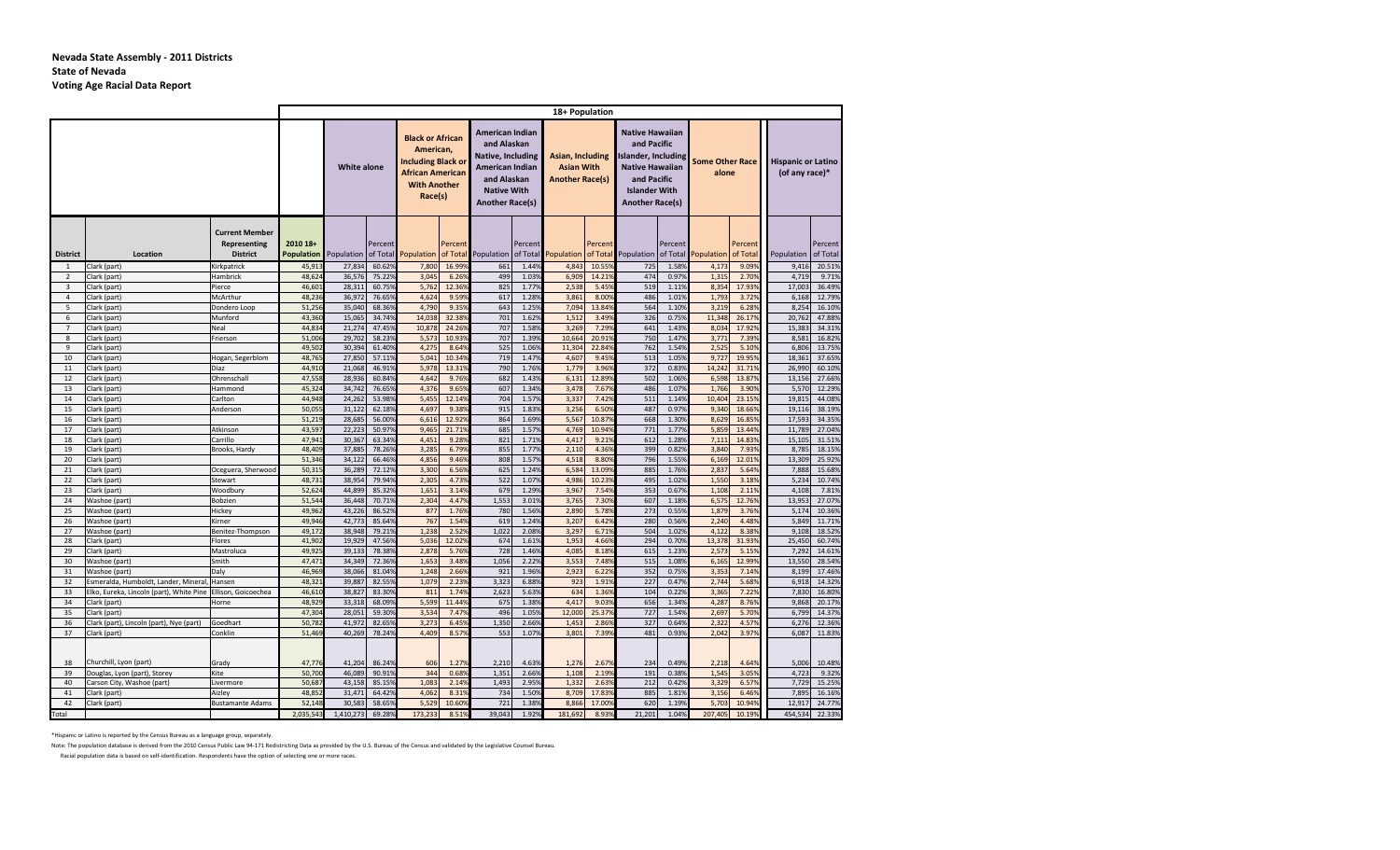## **Nevada State Assembly - 2011 Districts State of Nevada Voting Age Racial Data Report**

|                 |                                              |                         |                                                  | <b>White alone</b> |                  | <b>Black or African</b><br>American,<br><b>Including Black or</b><br><b>African American</b><br><b>With Another</b><br>Race(s) |                | <b>American Indian</b><br>and Alaskan<br><b>Native, Including</b><br><b>American Indian</b><br>and Alaskan<br><b>Native With</b><br><b>Another Race(s)</b> |                | <b>Asian, Including</b><br><b>Asian With</b><br><b>Another Race(s)</b> |                 | <b>Native Hawaiian</b><br>and Pacific<br><b>Islander, Including</b><br><b>Native Hawaiian</b><br>and Pacific<br><b>Islander With</b><br><b>Another Race(s)</b> |                | <b>Some Other Race</b><br>alone |                 | <b>Hispanic or Latino</b><br>(of any race) $*$ |                  |
|-----------------|----------------------------------------------|-------------------------|--------------------------------------------------|--------------------|------------------|--------------------------------------------------------------------------------------------------------------------------------|----------------|------------------------------------------------------------------------------------------------------------------------------------------------------------|----------------|------------------------------------------------------------------------|-----------------|----------------------------------------------------------------------------------------------------------------------------------------------------------------|----------------|---------------------------------|-----------------|------------------------------------------------|------------------|
|                 |                                              |                         |                                                  |                    |                  |                                                                                                                                |                |                                                                                                                                                            |                |                                                                        |                 |                                                                                                                                                                |                |                                 |                 |                                                |                  |
|                 |                                              | <b>Current Member</b>   |                                                  |                    |                  |                                                                                                                                |                |                                                                                                                                                            |                |                                                                        |                 |                                                                                                                                                                |                |                                 |                 |                                                |                  |
|                 |                                              | Representing            | 2010 18+                                         |                    | <b>Percent</b>   |                                                                                                                                | Percent        |                                                                                                                                                            | Percent        |                                                                        | Percent         |                                                                                                                                                                | Percent        |                                 | Percent         |                                                | Percent          |
| <b>District</b> | Location                                     | <b>District</b>         | <b>Population</b> Population of Total Population |                    |                  |                                                                                                                                |                | of Total Population                                                                                                                                        |                | of Total Population                                                    |                 | of Total Population                                                                                                                                            |                | of Total Population of Total    |                 | Population                                     | of Total         |
| -1              | Clark (part)                                 | Kirkpatrick             | 45,913                                           | 27,834             | 60.62%           | 7,800                                                                                                                          | 16.99%         | 661                                                                                                                                                        | 1.44%          | 4,843                                                                  | 10.55%          | 725                                                                                                                                                            | 1.58%          | 4,173                           | 9.09%           | 9,416                                          | 20.51%           |
| $\overline{2}$  | Clark (part)                                 | <b>Hambrick</b>         | 48,624                                           | 36,576             | 75.22%           | 3,045                                                                                                                          | 6.26%          | 499                                                                                                                                                        | 1.03%          | 6,909                                                                  | 14.21%          | 474                                                                                                                                                            | 0.97%          | 1,315                           | 2.70%           | 4,719                                          | 9.71%            |
| -3              | Clark (part)                                 | Pierce                  | 46,601                                           | 28,31              | 60.75%           | 5,762                                                                                                                          | 12.36%         | 825                                                                                                                                                        | 1.77%          | 2,538                                                                  | 5.45%           | 519                                                                                                                                                            | 1.11%          | 8,354                           | 17.93%          | 17,003                                         | 36.49%           |
| -5              | Clark (part)                                 | McArthur                | 48,236                                           | 36,972             | 76.65%<br>68.36% | 4,624                                                                                                                          | 9.59%<br>9.35% | 617<br>643                                                                                                                                                 | 1.28%<br>1.25% | 3,861<br>7,094                                                         | 8.00%<br>13.84% | 486                                                                                                                                                            | 1.01%<br>1.10% | 1,793<br>3,219                  | 3.72%<br>6.28%  | 6,168                                          | 12.79%<br>16.10% |
| 6               | Clark (part)<br>Clark (part)                 | Dondero Loop<br>Munford | 51,256<br>43,360                                 | 35,040<br>15,065   | 34.74%           | 4,790<br>14,038                                                                                                                | 32.38%         | 701                                                                                                                                                        | 1.62%          | 1,512                                                                  | 3.49%           | 564<br>326                                                                                                                                                     | 0.75%          | 11,348                          | 26.17%          | 8,254<br>20,762                                | 47.88%           |
| $\overline{7}$  | Clark (part)                                 | Neal                    | 44,834                                           | 21,274             | 47.45%           | 10,878                                                                                                                         | 24.26%         | 707                                                                                                                                                        | 1.58%          | 3,269                                                                  | 7.29%           | 641                                                                                                                                                            | 1.43%          | 8,034                           | 17.92%          | 15,383                                         | 34.31%           |
| 8               | Clark (part)                                 | Frierson                | 51,006                                           | 29,702             | 58.23%           | 5,573                                                                                                                          | 10.93%         | 707                                                                                                                                                        | 1.39%          | 10,664                                                                 | 20.91%          | 750                                                                                                                                                            | 1.47%          | 3,771                           | 7.39%           | 8,581                                          | 16.82%           |
| q               | Clark (part)                                 |                         | 49,502                                           | 30,394             | 61.40%           | 4,275                                                                                                                          | 8.64%          | 525                                                                                                                                                        | 1.06%          | 11,304                                                                 | 22.84%          | 762                                                                                                                                                            | 1.54%          | 2,525                           | 5.10%           | 6,806                                          | 13.75%           |
| 10              | Clark (part)                                 | Hogan, Segerblom        | 48,765                                           | 27,850             | 57.11%           | 5,041                                                                                                                          | 10.34%         | 719                                                                                                                                                        | 1.47%          | 4,607                                                                  | 9.45%           | 513                                                                                                                                                            | 1.05%          | 9,727                           | 19.95%          | 18,361                                         | 37.65%           |
| 11              | Clark (part)                                 | Diaz                    | 44,910                                           | 21,068             | 46.91%           | 5,978                                                                                                                          | 13.31%         | 790                                                                                                                                                        | 1.76%          | 1,779                                                                  | 3.96%           | 372                                                                                                                                                            | 0.83%          | 14,242                          | 31.71%          | 26,990                                         | 60.10%           |
| 12              | Clark (part)                                 | Ohrenschall             | 47,558                                           | 28,936             | 60.84%           | 4,642                                                                                                                          | 9.76%          | 682                                                                                                                                                        | 1.43%          | 6,131                                                                  | 12.89%          | 502                                                                                                                                                            | 1.06%          | 6,598                           | 13.87%          | 13,156                                         | 27.66%           |
| 13              | Clark (part)                                 | Hammond                 | 45,324                                           | 34,742             | 76.65%           | 4,376                                                                                                                          | 9.65%          | 607                                                                                                                                                        | 1.34%          | 3,478                                                                  | 7.67%           | 486                                                                                                                                                            | 1.07%          | 1,766                           | 3.90%           | 5,570                                          | 12.29%           |
| 14              | Clark (part)                                 | Carlton                 | 44,948                                           | 24,262             | 53.98%           | 5,455                                                                                                                          | 12.14%         | 704                                                                                                                                                        | 1.57%          | 3,337                                                                  | 7.42%           | 511                                                                                                                                                            | 1.14%          | 10,404                          | 23.15%          | 19,815                                         | 44.08%           |
| 15              | Clark (part)                                 | Anderson                | 50,055                                           | 31,122             | 62.18%           | 4,697                                                                                                                          | 9.38%          | 915                                                                                                                                                        | 1.83%          | 3,256                                                                  | 6.50%           | 487                                                                                                                                                            | 0.97%          | 9,340                           | 18.66%          | 19,116                                         | 38.19%           |
| 16              | Clark (part)                                 |                         | 51,219                                           | 28,685             | 56.00%           | 6,616                                                                                                                          | 12.92%         | 864                                                                                                                                                        | 1.69%          | 5,567                                                                  | 10.87%          | 668                                                                                                                                                            | 1.30%          | 8,629                           | 16.85%          |                                                | 17,593 34.35%    |
| 17              | Clark (part)                                 | Atkinson                | 43,597                                           | 22,223             | 50.97%           | 9,465                                                                                                                          | 21.71%         | 685                                                                                                                                                        | 1.57%          | 4,769                                                                  | 10.94%          | 771                                                                                                                                                            | 1.77%          | 5,859                           | 13.44%          | 11,789                                         | 27.04%           |
| 18              | Clark (part)                                 | Carrillo                | 47,941                                           | 30,367             | 63.34%           | 4,451                                                                                                                          | 9.28%          | 821                                                                                                                                                        | 1.71%          | 4,417                                                                  | 9.21%           | 612                                                                                                                                                            | 1.28%          | 7,111                           | 14.83%          | 15,105                                         | 31.51%           |
| 19              | Clark (part)                                 | Brooks, Hardy           | 48,409                                           | 37,885             | 78.26%           | 3,285                                                                                                                          | 6.79%          | 855                                                                                                                                                        | 1.77%          | 2,110                                                                  | 4.36%           | 399                                                                                                                                                            | 0.82%          | 3,840                           | 7.93%           | 8,785                                          | 18.15%           |
| 20              | Clark (part)                                 |                         | 51,346                                           | 34,122             | 66.46%           | 4,856                                                                                                                          | 9.46%          | 808                                                                                                                                                        | 1.57%          | 4,518                                                                  | 8.80%           | 796                                                                                                                                                            | 1.55%          | 6,169                           | 12.01%          | 13,309                                         | 25.92%           |
| 21              | Clark (part)                                 | Oceguera, Sherwood      | 50,315                                           | 36,289             | 72.12%           | 3,300                                                                                                                          | 6.56%          | 625                                                                                                                                                        | 1.24%          | 6,584                                                                  | 13.09%          | 885                                                                                                                                                            | 1.76%          | 2,837                           | 5.64%           | 7,888                                          | 15.68%           |
| 22              | Clark (part)                                 | Stewart                 | 48,731                                           | 38,954             | 79.94%           | 2,305                                                                                                                          | 4.73%          | 522                                                                                                                                                        | 1.07%          | 4,986                                                                  | 10.23%          | 495                                                                                                                                                            | 1.02%          | 1,550                           | 3.18%           | 5,234                                          | 10.74%           |
| 23              | Clark (part)                                 | Woodbury                | 52,624                                           | 44,899             | 85.32%<br>70.71% | 1,651                                                                                                                          | 3.14%<br>4.47% | 679                                                                                                                                                        | 1.29%<br>3.01% | 3,967                                                                  | 7.54%<br>7.30%  | 353<br>607                                                                                                                                                     | 0.67%<br>1.18% | 1,108                           | 2.11%<br>12.76% | 4,108                                          | 7.81%<br>27.07%  |
| 24<br>25        | Washoe (part)<br>Washoe (part)               | Bobzien<br>Hickey       | 51,544<br>49,962                                 | 36,448<br>43,226   | 86.52%           | 2,304<br>877                                                                                                                   | 1.76%          | 1,553<br>780                                                                                                                                               | 1.56%          | 3,765<br>2,890                                                         | 5.78%           | 273                                                                                                                                                            | 0.55%          | 6,575<br>1,879                  | 3.76%           | 13,953<br>5,174                                | 10.36%           |
| 26              | Washoe (part)                                | Kirner                  | 49,946                                           | 42,773             | 85.64%           | 767                                                                                                                            | 1.54%          | 619                                                                                                                                                        | 1.24%          | 3,207                                                                  | 6.42%           | 280                                                                                                                                                            | 0.56%          | 2,240                           | 4.48%           | 5,849                                          | 11.71%           |
| 27              | Washoe (part)                                | Benitez-Thompson        | 49,172                                           | 38,948             | 79.21%           | 1,238                                                                                                                          | 2.52%          | 1,022                                                                                                                                                      | 2.08%          | 3,297                                                                  | 6.71%           | 504                                                                                                                                                            | 1.02%          | 4,122                           | 8.38%           | 9,108                                          | 18.52%           |
| 28              | Clark (part)                                 | Flores                  | 41,902                                           | 19,929             | 47.56%           | 5,036                                                                                                                          | 12.02%         | 674                                                                                                                                                        | 1.61%          | 1,953                                                                  | 4.66%           | 294                                                                                                                                                            | 0.70%          | 13,378                          | 31.93%          | 25,450                                         | 60.74%           |
| 29              | Clark (part)                                 | Mastroluca              | 49,925                                           | 39,133             | 78.38%           | 2,878                                                                                                                          | 5.76%          | 728                                                                                                                                                        | 1.46%          | 4,085                                                                  | 8.18%           | 615                                                                                                                                                            | 1.23%          | 2,573                           | 5.15%           | 7,292                                          | 14.61%           |
| 30              | Washoe (part)                                | Smith                   | 47,471                                           | 34,349             | 72.36%           | 1,653                                                                                                                          | 3.48%          | 1,056                                                                                                                                                      | 2.22%          | 3,553                                                                  | 7.48%           | 515                                                                                                                                                            | 1.08%          | 6,165                           | 12.99%          | 13,550                                         | 28.54%           |
| 31              | Washoe (part)                                | Daly                    | 46,969                                           | 38,066             | 81.04%           | 1,248                                                                                                                          | 2.66%          | 921                                                                                                                                                        | 1.96%          | 2,923                                                                  | 6.22%           | 352                                                                                                                                                            | 0.75%          | 3,353                           | 7.14%           | 8,199                                          | 17.46%           |
| 32              | Esmeralda, Humboldt, Lander, Mineral, Hansen |                         | 48,321                                           | 39,887             | 82.55%           | 1,079                                                                                                                          | 2.23%          | 3,323                                                                                                                                                      | 6.88%          | 923                                                                    | 1.91%           | 227                                                                                                                                                            | 0.47%          | 2,744                           | 5.68%           | 6,918                                          | 14.32%           |
| 33              | Elko, Eureka, Lincoln (part), White Pine     | Ellison, Goicoechea     | 46,610                                           | 38,827             | 83.30%           | 811                                                                                                                            | 1.74%          | 2,623                                                                                                                                                      | 5.63%          | 634                                                                    | 1.36%           | 104                                                                                                                                                            | 0.22%          | 3,365                           | 7.22%           | 7,830                                          | 16.80%           |
| 34              | Clark (part)                                 | Horne                   | 48,929                                           | 33,318             | 68.09%           | 5,599                                                                                                                          | 11.44%         | 675                                                                                                                                                        | 1.38%          | 4,417                                                                  | 9.03%           | 656                                                                                                                                                            | 1.34%          | 4,287                           | 8.76%           | 9,868                                          | 20.17%           |
| 35              | Clark (part)                                 |                         | 47,304                                           | 28,051             | 59.30%           | 3,534                                                                                                                          | 7.47%          | 496                                                                                                                                                        | 1.05%          | 12,000                                                                 | 25.37%          | 727                                                                                                                                                            | 1.54%          | 2,697                           | 5.70%           | 6,799                                          | 14.37%           |
| 36              | Clark (part), Lincoln (part), Nye (part)     | Goedhart                | 50,782                                           | 41,97              | 82.65%           | 3,273                                                                                                                          | 6.45%          | 1,350                                                                                                                                                      | 2.66%          | 1,453                                                                  | 2.86%           | 327                                                                                                                                                            | 0.64%          | 2,322                           | 4.57%           | 6,276                                          | 12.36%           |
| 37              | Clark (part)                                 | Conklin                 | 51,469                                           | 40,269             | 78.24%           | 4,409                                                                                                                          | 8.57%          | 553                                                                                                                                                        | 1.07%          | 3,801                                                                  | 7.39%           | 481                                                                                                                                                            | 0.93%          | 2,042                           | 3.97%           | 6,087                                          | 11.83%           |
|                 |                                              |                         |                                                  |                    |                  |                                                                                                                                |                |                                                                                                                                                            |                |                                                                        |                 |                                                                                                                                                                |                |                                 |                 |                                                |                  |
| 38              | Churchill, Lyon (part)                       | Grady                   | 47,776                                           | 41,204             | 86.24%           | 606                                                                                                                            | 1.27%          | 2,210                                                                                                                                                      | 4.63%          | 1,276                                                                  | 2.67%           | 234                                                                                                                                                            | 0.49%          | 2,218                           | 4.64%           | 5,006                                          | 10.48%           |
| 39              | Douglas, Lyon (part), Storey                 | Kite                    | 50,700                                           | 46,089             | 90.91%           | 344                                                                                                                            | 0.68%          | 1,351                                                                                                                                                      | 2.66%          | 1,108                                                                  | 2.19%           | 191<br>212                                                                                                                                                     | 0.38%          | 1,545                           | 3.05%           | 4,723                                          | 9.32%            |
| 40<br>41        | Carson City, Washoe (part)<br>Clark (part)   | Livermore<br>Aizley     | 50,687<br>48,852                                 | 43,158<br>31,471   | 85.15%<br>64.42% | 1,083<br>4,062                                                                                                                 | 2.14%<br>8.31% | 1,493<br>734                                                                                                                                               | 2.95%<br>1.50% | 1,332<br>8,709                                                         | 2.63%<br>17.83% | 885                                                                                                                                                            | 0.42%<br>1.81% | 3,329<br>3,156                  | 6.57%<br>6.46%  | 7,729<br>7,895                                 | 15.25%<br>16.16% |
| 42              | Clark (part)                                 | <b>Bustamante Adams</b> | 52,148                                           | 30,583             | 58.65%           | 5,529                                                                                                                          | 10.60%         | 721                                                                                                                                                        | 1.38%          | 8,866                                                                  | 17.00%          | 620                                                                                                                                                            | 1.19%          | 5,703                           | 10.94%          | 12,917                                         | 24.77%           |
| Total           |                                              |                         | 2,035,543                                        | 1,410,273          | 69.28%           | 173,233                                                                                                                        | 8.51%          | 39,043                                                                                                                                                     | 1.92%          | 181,692                                                                | 8.93%           | 21,201                                                                                                                                                         | 1.04%          | 207,405                         | 10.19%          | 454,534                                        | 22.33%           |
|                 |                                              |                         |                                                  |                    |                  |                                                                                                                                |                |                                                                                                                                                            |                |                                                                        |                 |                                                                                                                                                                |                |                                 |                 |                                                |                  |

Note: The population database is derived from the 2010 Census Public Law 94-171 Redistricting Data as provided by the U.S. Bureau of the Census and validated by the Legislative Counsel Bureau.

Racial population data is based on self-identification. Respondents have the option of selecting one or more races.

\*Hispanic or Latino is reported by the Census Bureau as a language group, separately.